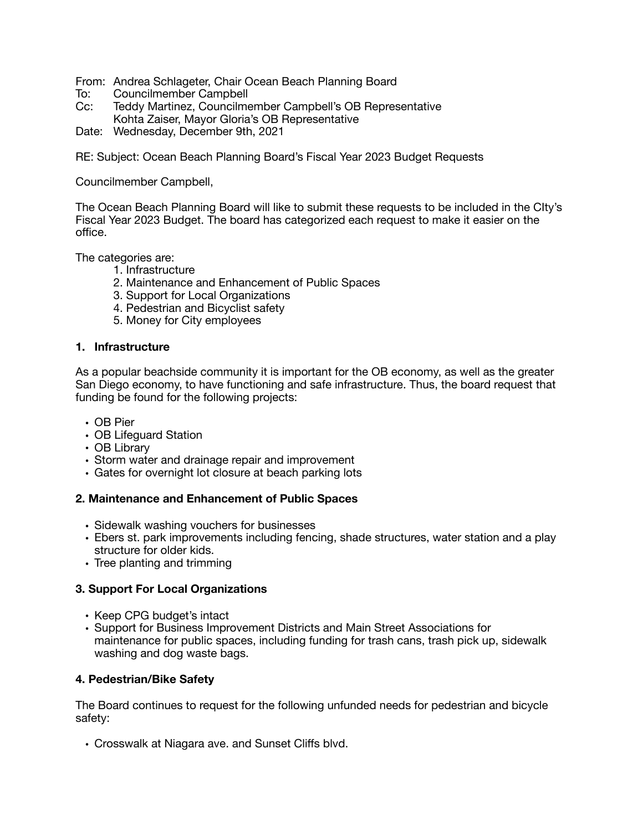From: Andrea Schlageter, Chair Ocean Beach Planning Board

- To: Councilmember Campbell<br>Cc: Teddy Martinez, Councilme
- Teddy Martinez, Councilmember Campbell's OB Representative Kohta Zaiser, Mayor Gloria's OB Representative
- Date: Wednesday, December 9th, 2021

RE: Subject: Ocean Beach Planning Board's Fiscal Year 2023 Budget Requests

Councilmember Campbell,

The Ocean Beach Planning Board will like to submit these requests to be included in the CIty's Fiscal Year 2023 Budget. The board has categorized each request to make it easier on the office.

The categories are:

- 1. Infrastructure
- 2. Maintenance and Enhancement of Public Spaces
- 3. Support for Local Organizations
- 4. Pedestrian and Bicyclist safety
- 5. Money for City employees

### **1. Infrastructure**

As a popular beachside community it is important for the OB economy, as well as the greater San Diego economy, to have functioning and safe infrastructure. Thus, the board request that funding be found for the following projects:

- OB Pier
- OB Lifeguard Station
- OB Library
- Storm water and drainage repair and improvement
- Gates for overnight lot closure at beach parking lots

#### **2. Maintenance and Enhancement of Public Spaces**

- Sidewalk washing vouchers for businesses
- Ebers st. park improvements including fencing, shade structures, water station and a play structure for older kids.
- Tree planting and trimming

#### **3. Support For Local Organizations**

- Keep CPG budget's intact
- Support for Business Improvement Districts and Main Street Associations for maintenance for public spaces, including funding for trash cans, trash pick up, sidewalk washing and dog waste bags.

## **4. Pedestrian/Bike Safety**

The Board continues to request for the following unfunded needs for pedestrian and bicycle safety:

• Crosswalk at Niagara ave. and Sunset Cliffs blvd.